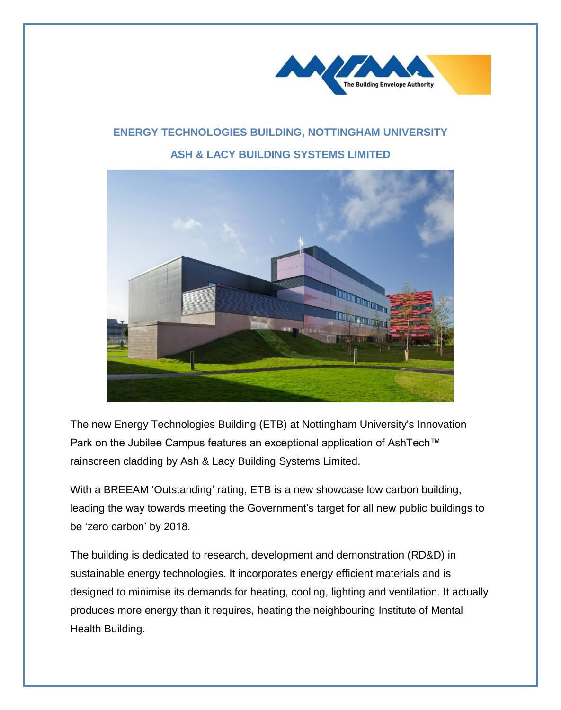

## **ENERGY TECHNOLOGIES BUILDING, NOTTINGHAM UNIVERSITY ASH & LACY BUILDING SYSTEMS LIMITED**



The new Energy Technologies Building (ETB) at Nottingham University's Innovation Park on the Jubilee Campus features an exceptional application of AshTech™ rainscreen cladding by Ash & Lacy Building Systems Limited.

With a BREEAM 'Outstanding' rating, ETB is a new showcase low carbon building, leading the way towards meeting the Government's target for all new public buildings to be 'zero carbon' by 2018.

The building is dedicated to research, development and demonstration (RD&D) in sustainable energy technologies. It incorporates energy efficient materials and is designed to minimise its demands for heating, cooling, lighting and ventilation. It actually produces more energy than it requires, heating the neighbouring Institute of Mental Health Building.